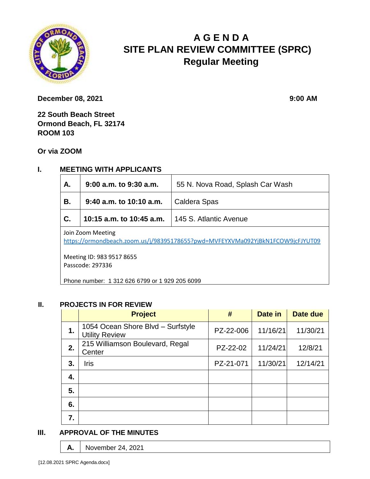

# **A G E N D A SITE PLAN REVIEW COMMITTEE (SPRC) Regular Meeting**

**December 08, 2021** 9:00 **AM** 

**22 South Beach Street Ormond Beach, FL 32174 ROOM 103**

**Or via ZOOM**

### **I. MEETING WITH APPLICANTS**

| A.                                                                                                      | 9:00 a.m. to 9:30 a.m.                            | 55 N. Nova Road, Splash Car Wash |  |  |
|---------------------------------------------------------------------------------------------------------|---------------------------------------------------|----------------------------------|--|--|
| В.                                                                                                      | 9:40 a.m. to 10:10 a.m.                           | Caldera Spas                     |  |  |
| C.                                                                                                      | 10:15 a.m. to 10:45 a.m.   145 S. Atlantic Avenue |                                  |  |  |
| Join Zoom Meeting<br>https://armandbaach.zoom.us/i/0920E1796EE2pwd-MI/EEVVI/Ma002ViPLNI1ECOMQicEIVLIT00 |                                                   |                                  |  |  |

<https://ormondbeach.zoom.us/j/98395178655?pwd=MVFEYXVMa092YjBkN1FCOW9jcFJYUT09>

Meeting ID: 983 9517 8655 Passcode: 297336

Phone number: 1 312 626 6799 or 1 929 205 6099

#### **II. PROJECTS IN FOR REVIEW**

|    | <b>Project</b>                                             | #         | Date in  | Date due |
|----|------------------------------------------------------------|-----------|----------|----------|
| 1. | 1054 Ocean Shore Blvd - Surfstyle<br><b>Utility Review</b> | PZ-22-006 | 11/16/21 | 11/30/21 |
| 2. | 215 Williamson Boulevard, Regal<br>Center                  | PZ-22-02  | 11/24/21 | 12/8/21  |
| 3. | <b>Iris</b>                                                | PZ-21-071 | 11/30/21 | 12/14/21 |
| 4. |                                                            |           |          |          |
| 5. |                                                            |           |          |          |
| 6. |                                                            |           |          |          |
| 7. |                                                            |           |          |          |

#### **III. APPROVAL OF THE MINUTES**

**A.** November 24, 2021